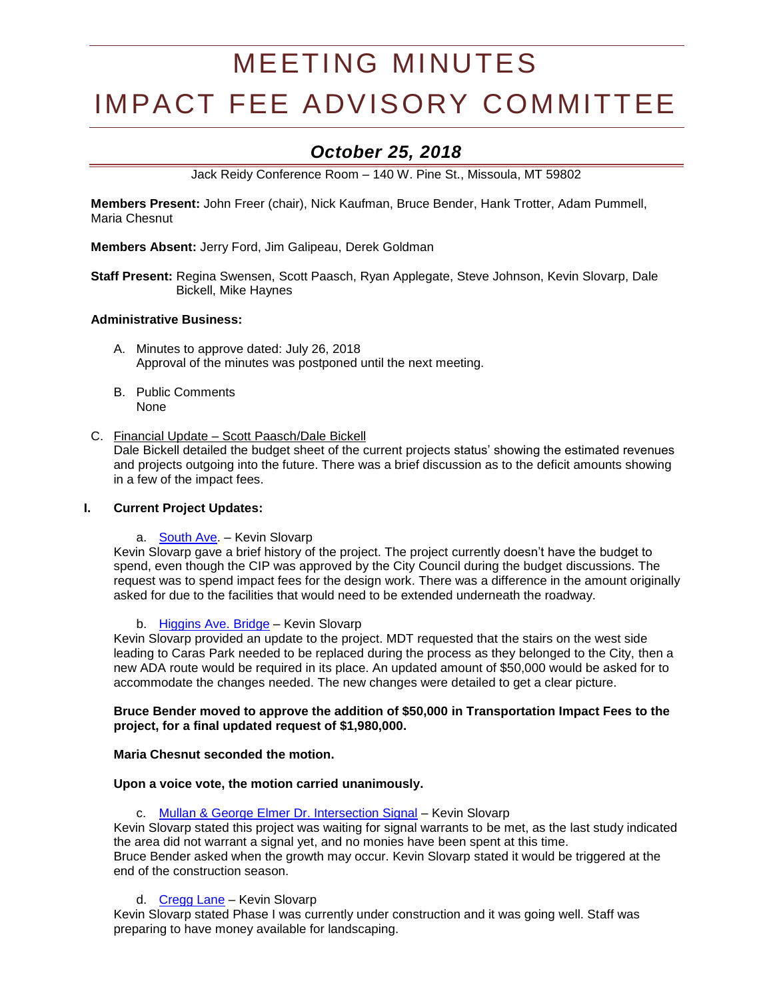# MEETING MINUTES

# IMPACT FEE ADVISORY COMMITTEE

# *October 25, 2018*

Jack Reidy Conference Room – 140 W. Pine St., Missoula, MT 59802

**Members Present:** John Freer (chair), Nick Kaufman, Bruce Bender, Hank Trotter, Adam Pummell, Maria Chesnut

**Members Absent:** Jerry Ford, Jim Galipeau, Derek Goldman

**Staff Present:** Regina Swensen, Scott Paasch, Ryan Applegate, Steve Johnson, Kevin Slovarp, Dale Bickell, Mike Haynes

# **Administrative Business:**

- A. Minutes to approve dated: July 26, 2018 Approval of the minutes was postponed until the next meeting.
- B. Public Comments None
- C. Financial Update Scott Paasch/Dale Bickell

Dale Bickell detailed the budget sheet of the current projects status' showing the estimated revenues and projects outgoing into the future. There was a brief discussion as to the deficit amounts showing in a few of the impact fees.

# **I. Current Project Updates:**

a. [South Ave.](https://www.ci.missoula.mt.us/DocumentCenter/View/39239) – Kevin Slovarp

Kevin Slovarp gave a brief history of the project. The project currently doesn't have the budget to spend, even though the CIP was approved by the City Council during the budget discussions. The request was to spend impact fees for the design work. There was a difference in the amount originally asked for due to the facilities that would need to be extended underneath the roadway.

b. [Higgins Ave. Bridge](https://www.ci.missoula.mt.us/DocumentCenter/View/33695) – Kevin Slovarp

Kevin Slovarp provided an update to the project. MDT requested that the stairs on the west side leading to Caras Park needed to be replaced during the process as they belonged to the City, then a new ADA route would be required in its place. An updated amount of \$50,000 would be asked for to accommodate the changes needed. The new changes were detailed to get a clear picture.

# **Bruce Bender moved to approve the addition of \$50,000 in Transportation Impact Fees to the project, for a final updated request of \$1,980,000.**

# **Maria Chesnut seconded the motion.**

# **Upon a voice vote, the motion carried unanimously.**

c. [Mullan & George Elmer Dr. Intersection Signal](https://www.ci.missoula.mt.us/DocumentCenter/View/39234) – Kevin Slovarp

Kevin Slovarp stated this project was waiting for signal warrants to be met, as the last study indicated the area did not warrant a signal yet, and no monies have been spent at this time. Bruce Bender asked when the growth may occur. Kevin Slovarp stated it would be triggered at the end of the construction season.

d. [Cregg Lane](https://www.ci.missoula.mt.us/DocumentCenter/View/41366) - Kevin Slovarp

Kevin Slovarp stated Phase I was currently under construction and it was going well. Staff was preparing to have money available for landscaping.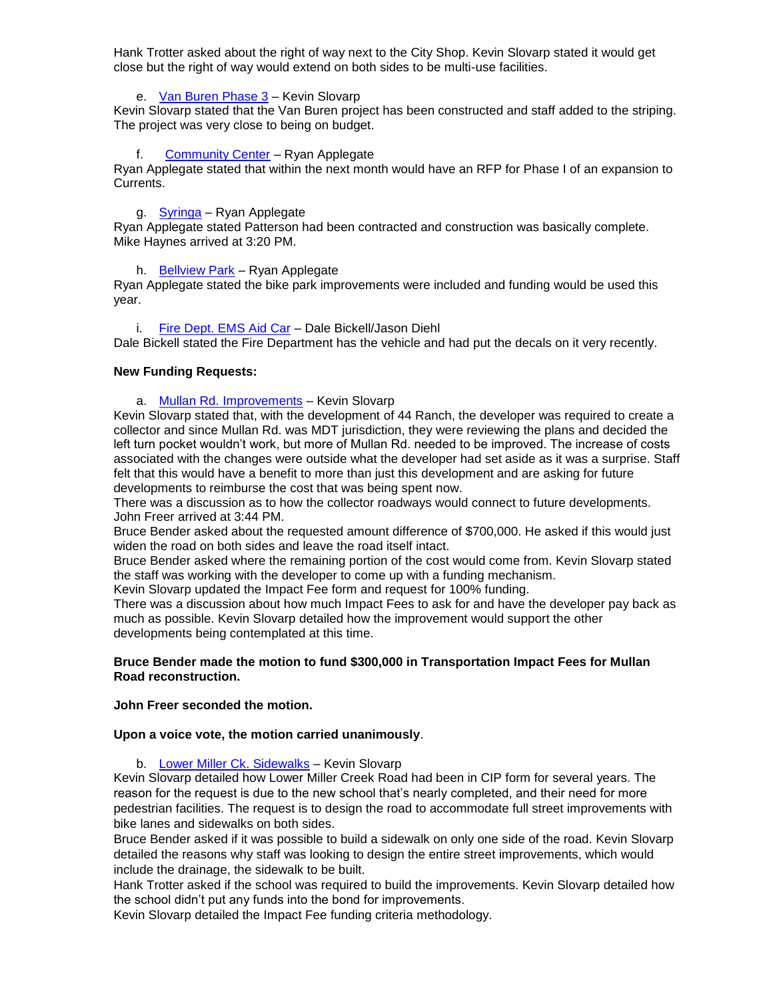Hank Trotter asked about the right of way next to the City Shop. Kevin Slovarp stated it would get close but the right of way would extend on both sides to be multi-use facilities.

e. [Van Buren Phase 3](https://www.ci.missoula.mt.us/DocumentCenter/View/41372) – Kevin Slovarp

Kevin Slovarp stated that the Van Buren project has been constructed and staff added to the striping. The project was very close to being on budget.

f. [Community Center](https://www.ci.missoula.mt.us/DocumentCenter/View/33701) – Ryan Applegate

Ryan Applegate stated that within the next month would have an RFP for Phase I of an expansion to Currents.

# g. [Syringa](https://www.ci.missoula.mt.us/DocumentCenter/View/40362) – Ryan Applegate

Ryan Applegate stated Patterson had been contracted and construction was basically complete. Mike Haynes arrived at 3:20 PM.

h. [Bellview](http://mt-missoula2.civicplus.com/DocumentCenter/View/32600) Park – Ryan Applegate

Ryan Applegate stated the bike park improvements were included and funding would be used this year.

# i. [Fire Dept. EMS Aid Car](https://www.ci.missoula.mt.us/DocumentCenter/View/40364) – Dale Bickell/Jason Diehl

Dale Bickell stated the Fire Department has the vehicle and had put the decals on it very recently.

# **New Funding Requests:**

a. [Mullan Rd. Improvements](https://www.ci.missoula.mt.us/DocumentCenter/View/46585/DS---Mullan-Rd-Reconstruction) – Kevin Slovarp

Kevin Slovarp stated that, with the development of 44 Ranch, the developer was required to create a collector and since Mullan Rd. was MDT jurisdiction, they were reviewing the plans and decided the left turn pocket wouldn't work, but more of Mullan Rd. needed to be improved. The increase of costs associated with the changes were outside what the developer had set aside as it was a surprise. Staff felt that this would have a benefit to more than just this development and are asking for future developments to reimburse the cost that was being spent now.

There was a discussion as to how the collector roadways would connect to future developments. John Freer arrived at 3:44 PM.

Bruce Bender asked about the requested amount difference of \$700,000. He asked if this would just widen the road on both sides and leave the road itself intact.

Bruce Bender asked where the remaining portion of the cost would come from. Kevin Slovarp stated the staff was working with the developer to come up with a funding mechanism.

Kevin Slovarp updated the Impact Fee form and request for 100% funding.

There was a discussion about how much Impact Fees to ask for and have the developer pay back as much as possible. Kevin Slovarp detailed how the improvement would support the other developments being contemplated at this time.

# **Bruce Bender made the motion to fund \$300,000 in Transportation Impact Fees for Mullan Road reconstruction.**

# **John Freer seconded the motion.**

# **Upon a voice vote, the motion carried unanimously**.

b. [Lower Miller Ck. Sidewalks](https://www.ci.missoula.mt.us/DocumentCenter/View/46584/DS---Lower-Miller-Creek-Road-LVB-to-Bigfork) – Kevin Slovarp

Kevin Slovarp detailed how Lower Miller Creek Road had been in CIP form for several years. The reason for the request is due to the new school that's nearly completed, and their need for more pedestrian facilities. The request is to design the road to accommodate full street improvements with bike lanes and sidewalks on both sides.

Bruce Bender asked if it was possible to build a sidewalk on only one side of the road. Kevin Slovarp detailed the reasons why staff was looking to design the entire street improvements, which would include the drainage, the sidewalk to be built.

Hank Trotter asked if the school was required to build the improvements. Kevin Slovarp detailed how the school didn't put any funds into the bond for improvements.

Kevin Slovarp detailed the Impact Fee funding criteria methodology.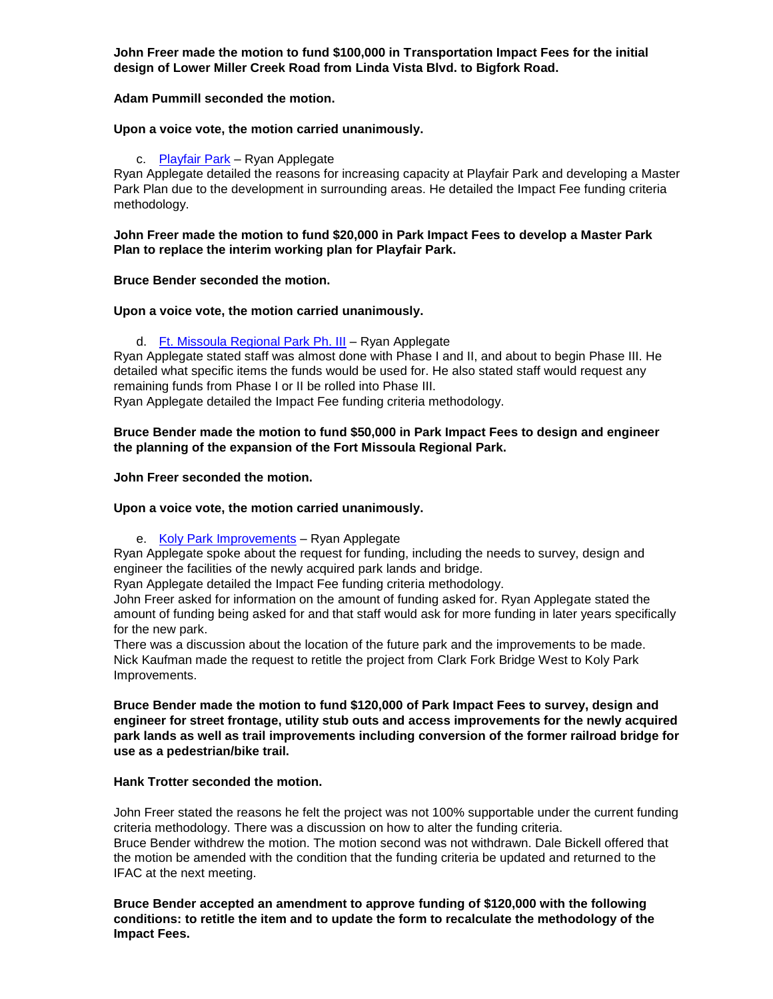**John Freer made the motion to fund \$100,000 in Transportation Impact Fees for the initial design of Lower Miller Creek Road from Linda Vista Blvd. to Bigfork Road.**

# **Adam Pummill seconded the motion.**

# **Upon a voice vote, the motion carried unanimously.**

# c. [Playfair Park](https://www.ci.missoula.mt.us/DocumentCenter/View/46591/PandR---PlayFair-Park) – Ryan Applegate

Ryan Applegate detailed the reasons for increasing capacity at Playfair Park and developing a Master Park Plan due to the development in surrounding areas. He detailed the Impact Fee funding criteria methodology.

**John Freer made the motion to fund \$20,000 in Park Impact Fees to develop a Master Park Plan to replace the interim working plan for Playfair Park.**

# **Bruce Bender seconded the motion.**

**Upon a voice vote, the motion carried unanimously.**

d. [Ft. Missoula Regional Park Ph. III](https://www.ci.missoula.mt.us/DocumentCenter/View/46587/PandR---Ft-Msla-Regional-Park-Phase-3) – Ryan Applegate

Ryan Applegate stated staff was almost done with Phase I and II, and about to begin Phase III. He detailed what specific items the funds would be used for. He also stated staff would request any remaining funds from Phase I or II be rolled into Phase III.

Ryan Applegate detailed the Impact Fee funding criteria methodology.

# **Bruce Bender made the motion to fund \$50,000 in Park Impact Fees to design and engineer the planning of the expansion of the Fort Missoula Regional Park.**

**John Freer seconded the motion.**

# **Upon a voice vote, the motion carried unanimously.**

e. [Koly Park Improvements](https://www.ci.missoula.mt.us/DocumentCenter/View/46589/PandR---Clark-Fork-Bridge-West) - Ryan Applegate

Ryan Applegate spoke about the request for funding, including the needs to survey, design and engineer the facilities of the newly acquired park lands and bridge.

Ryan Applegate detailed the Impact Fee funding criteria methodology.

John Freer asked for information on the amount of funding asked for. Ryan Applegate stated the amount of funding being asked for and that staff would ask for more funding in later years specifically for the new park.

There was a discussion about the location of the future park and the improvements to be made. Nick Kaufman made the request to retitle the project from Clark Fork Bridge West to Koly Park Improvements.

**Bruce Bender made the motion to fund \$120,000 of Park Impact Fees to survey, design and engineer for street frontage, utility stub outs and access improvements for the newly acquired park lands as well as trail improvements including conversion of the former railroad bridge for use as a pedestrian/bike trail.**

# **Hank Trotter seconded the motion.**

John Freer stated the reasons he felt the project was not 100% supportable under the current funding criteria methodology. There was a discussion on how to alter the funding criteria. Bruce Bender withdrew the motion. The motion second was not withdrawn. Dale Bickell offered that the motion be amended with the condition that the funding criteria be updated and returned to the IFAC at the next meeting.

**Bruce Bender accepted an amendment to approve funding of \$120,000 with the following conditions: to retitle the item and to update the form to recalculate the methodology of the Impact Fees.**